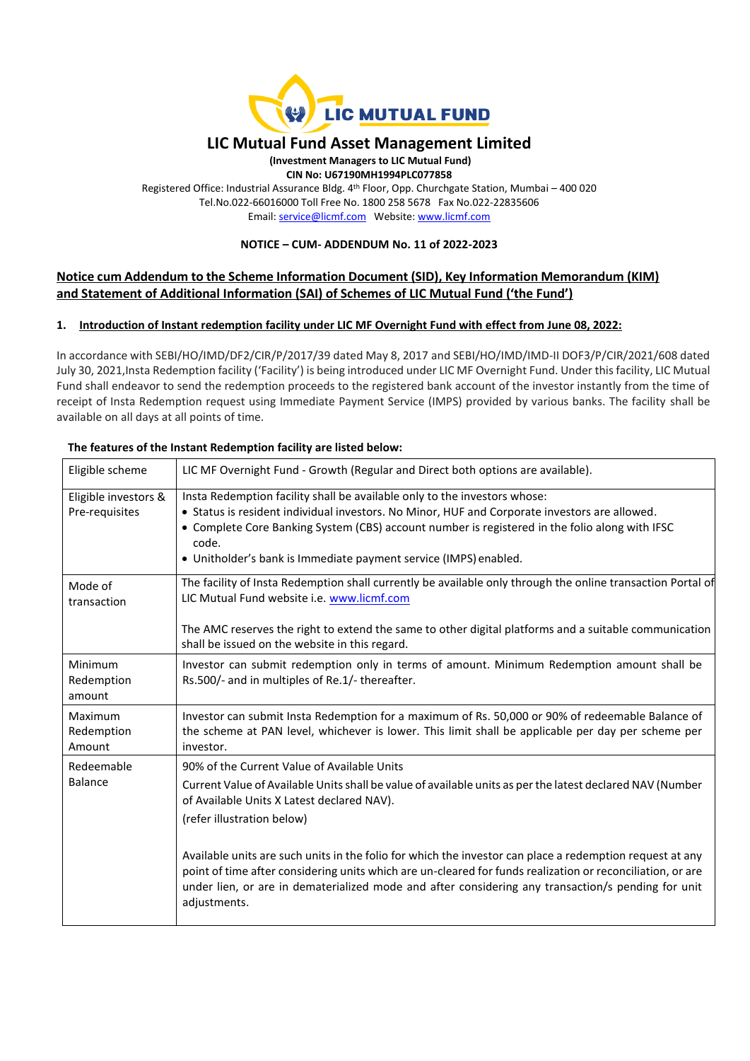

# **LIC Mutual Fund Asset Management Limited**

**(Investment Managers to LIC Mutual Fund) CIN No: U67190MH1994PLC077858** Registered Office: Industrial Assurance Bldg. 4 th Floor, Opp. Churchgate Station, Mumbai – 400 020 Tel.No.022-66016000 Toll Free No. 1800 258 5678 Fax No.022-22835606 Email[: service@licmf.com](mailto:service@licnomuramf.com) Website: [www.licmf.com](http://www.licnomuramf.com/)

## **NOTICE – CUM- ADDENDUM No. 11 of 2022-2023**

# **Notice cum Addendum to the Scheme Information Document (SID), Key Information Memorandum (KIM) and Statement of Additional Information (SAI) of Schemes of LIC Mutual Fund ('the Fund')**

#### **1. Introduction of Instant redemption facility under LIC MF Overnight Fund with effect from June 08, 2022:**

In accordance with SEBI/HO/IMD/DF2/CIR/P/2017/39 dated May 8, 2017 and SEBI/HO/IMD/IMD-II DOF3/P/CIR/2021/608 dated July 30, 2021,Insta Redemption facility ('Facility') is being introduced under LIC MF Overnight Fund. Under this facility, LIC Mutual Fund shall endeavor to send the redemption proceeds to the registered bank account of the investor instantly from the time of receipt of Insta Redemption request using Immediate Payment Service (IMPS) provided by various banks. The facility shall be available on all days at all points of time.

| Eligible scheme                        | LIC MF Overnight Fund - Growth (Regular and Direct both options are available).                                                                                                                                                                                                                                                                           |
|----------------------------------------|-----------------------------------------------------------------------------------------------------------------------------------------------------------------------------------------------------------------------------------------------------------------------------------------------------------------------------------------------------------|
| Eligible investors &<br>Pre-requisites | Insta Redemption facility shall be available only to the investors whose:<br>• Status is resident individual investors. No Minor, HUF and Corporate investors are allowed.<br>• Complete Core Banking System (CBS) account number is registered in the folio along with IFSC<br>code.<br>• Unitholder's bank is Immediate payment service (IMPS) enabled. |
| Mode of<br>transaction                 | The facility of Insta Redemption shall currently be available only through the online transaction Portal of<br>LIC Mutual Fund website i.e. www.licmf.com                                                                                                                                                                                                 |
|                                        | The AMC reserves the right to extend the same to other digital platforms and a suitable communication<br>shall be issued on the website in this regard.                                                                                                                                                                                                   |
| Minimum<br>Redemption<br>amount        | Investor can submit redemption only in terms of amount. Minimum Redemption amount shall be<br>Rs.500/- and in multiples of Re.1/- thereafter.                                                                                                                                                                                                             |
| Maximum<br>Redemption<br>Amount        | Investor can submit Insta Redemption for a maximum of Rs. 50,000 or 90% of redeemable Balance of<br>the scheme at PAN level, whichever is lower. This limit shall be applicable per day per scheme per<br>investor.                                                                                                                                       |
| Redeemable<br>Balance                  | 90% of the Current Value of Available Units<br>Current Value of Available Units shall be value of available units as per the latest declared NAV (Number<br>of Available Units X Latest declared NAV).<br>(refer illustration below)                                                                                                                      |
|                                        | Available units are such units in the folio for which the investor can place a redemption request at any<br>point of time after considering units which are un-cleared for funds realization or reconciliation, or are<br>under lien, or are in dematerialized mode and after considering any transaction/s pending for unit<br>adjustments.              |

#### **The features of the Instant Redemption facility are listed below:**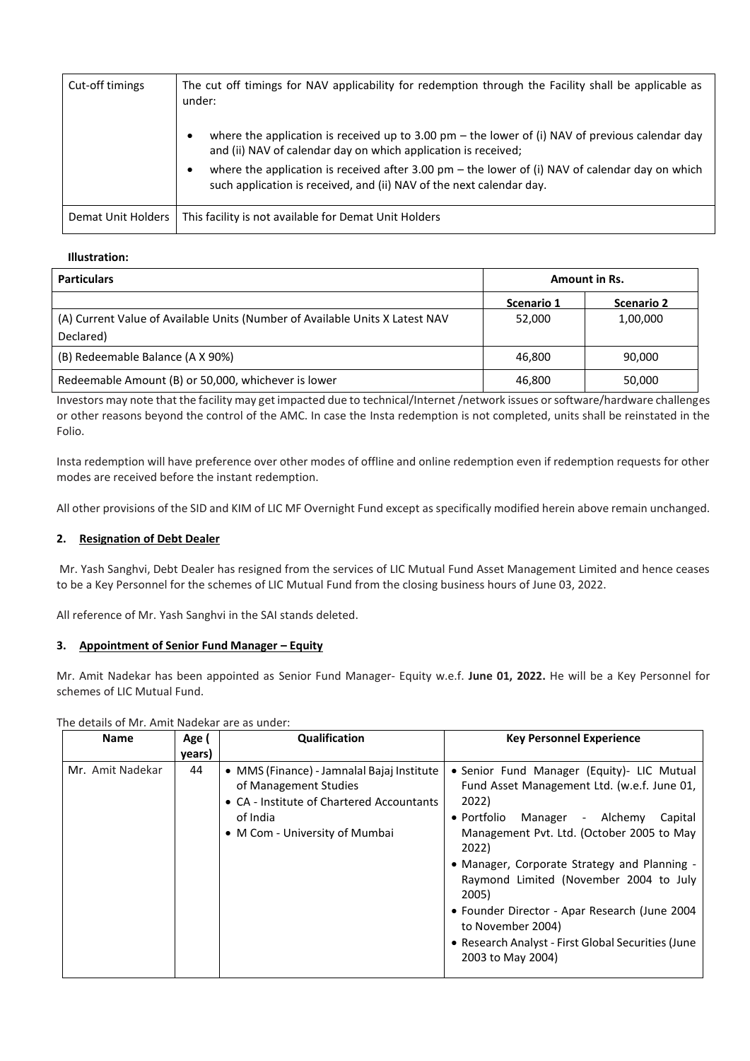| Cut-off timings    | The cut off timings for NAV applicability for redemption through the Facility shall be applicable as<br>under:                                                            |  |  |
|--------------------|---------------------------------------------------------------------------------------------------------------------------------------------------------------------------|--|--|
|                    | where the application is received up to 3.00 pm – the lower of (i) NAV of previous calendar day<br>and (ii) NAV of calendar day on which application is received;         |  |  |
|                    | where the application is received after 3.00 pm $-$ the lower of (i) NAV of calendar day on which<br>such application is received, and (ii) NAV of the next calendar day. |  |  |
| Demat Unit Holders | This facility is not available for Demat Unit Holders                                                                                                                     |  |  |

## **Illustration:**

| <b>Particulars</b>                                                           | <b>Amount in Rs.</b> |                   |
|------------------------------------------------------------------------------|----------------------|-------------------|
|                                                                              | Scenario 1           | <b>Scenario 2</b> |
| (A) Current Value of Available Units (Number of Available Units X Latest NAV | 52,000               | 1,00,000          |
| Declared)                                                                    |                      |                   |
| (B) Redeemable Balance (A X 90%)                                             | 46.800               | 90.000            |
| Redeemable Amount (B) or 50,000, whichever is lower                          | 46,800               | 50,000            |

Investors may note that the facility may get impacted due to technical/Internet /network issues or software/hardware challenges or other reasons beyond the control of the AMC. In case the Insta redemption is not completed, units shall be reinstated in the Folio.

Insta redemption will have preference over other modes of offline and online redemption even if redemption requests for other modes are received before the instant redemption.

All other provisions of the SID and KIM of LIC MF Overnight Fund except as specifically modified herein above remain unchanged.

# **2. Resignation of Debt Dealer**

Mr. Yash Sanghvi, Debt Dealer has resigned from the services of LIC Mutual Fund Asset Management Limited and hence ceases to be a Key Personnel for the schemes of LIC Mutual Fund from the closing business hours of June 03, 2022.

All reference of Mr. Yash Sanghvi in the SAI stands deleted.

#### **3. Appointment of Senior Fund Manager – Equity**

Mr. Amit Nadekar has been appointed as Senior Fund Manager- Equity w.e.f. **June 01, 2022.** He will be a Key Personnel for schemes of LIC Mutual Fund.

| <b>Name</b>      | Age (<br>years) | Qualification                                                                                                                                                  | <b>Key Personnel Experience</b>                                                                                                                                                                                                                                                                                                                                                                                                                                     |
|------------------|-----------------|----------------------------------------------------------------------------------------------------------------------------------------------------------------|---------------------------------------------------------------------------------------------------------------------------------------------------------------------------------------------------------------------------------------------------------------------------------------------------------------------------------------------------------------------------------------------------------------------------------------------------------------------|
| Mr. Amit Nadekar | 44              | • MMS (Finance) - Jamnalal Bajaj Institute<br>of Management Studies<br>• CA - Institute of Chartered Accountants<br>of India<br>• M Com - University of Mumbai | • Senior Fund Manager (Equity) -LIC Mutual<br>Fund Asset Management Ltd. (w.e.f. June 01,<br>2022)<br>$\bullet$ Portfolio<br>Manager - Alchemy<br>Capital<br>Management Pvt. Ltd. (October 2005 to May<br>2022)<br>• Manager, Corporate Strategy and Planning -<br>Raymond Limited (November 2004 to July<br>2005)<br>• Founder Director - Apar Research (June 2004<br>to November 2004)<br>• Research Analyst - First Global Securities (June<br>2003 to May 2004) |

The details of Mr. Amit Nadekar are as under: